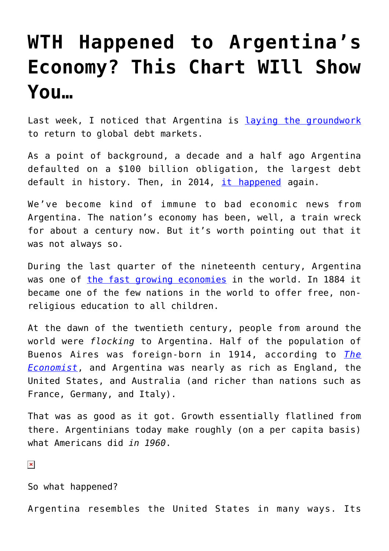## **[WTH Happened to Argentina's](https://intellectualtakeout.org/2016/04/wth-happened-to-argentinas-economy-this-chart-will-show-you/) [Economy? This Chart WIll Show](https://intellectualtakeout.org/2016/04/wth-happened-to-argentinas-economy-this-chart-will-show-you/) [You…](https://intellectualtakeout.org/2016/04/wth-happened-to-argentinas-economy-this-chart-will-show-you/)**

Last week, I noticed that Argentina is [laying the groundwork](http://www.ft.com/intl/cms/s/0/90e39838-fd03-11e5-b3f6-11d5706b613b.html#axzz46Bpfyg00) to return to global debt markets.

As a point of background, a decade and a half ago Argentina defaulted on a \$100 billion obligation, the largest debt default in history. Then, in 2014, [it happened](http://www.forbes.com/sites/mikepatton/2014/08/01/argentina-defaults-on-its-debt-again/#10d0396933ce) again.

We've become kind of immune to bad economic news from Argentina. The nation's economy has been, well, a train wreck for about a century now. But it's worth pointing out that it was not always so.

During the last quarter of the nineteenth century, Argentina was one of [the fast growing economies](https://www.quandl.com/data/MADDISON/GDPPC_ARG_NEW-GDP-Per-Capita-of-Argentina-New-Estimate) in the world. In 1884 it became one of the few nations in the world to offer free, nonreligious education to all children.

At the dawn of the twentieth century, people from around the world were *flocking* to Argentina. Half of the population of Buenos Aires was foreign-born in 1914, according to *[The](http://www.economist.com/news/briefing/21596582-one-hundred-years-ago-argentina-was-future-what-went-wrong-century-decline) [Economist](http://www.economist.com/news/briefing/21596582-one-hundred-years-ago-argentina-was-future-what-went-wrong-century-decline)*, and Argentina was nearly as rich as England, the United States, and Australia (and richer than nations such as France, Germany, and Italy).

That was as good as it got. Growth essentially flatlined from there. Argentinians today make roughly (on a per capita basis) what Americans did *in 1960*.

 $\pmb{\times}$ 

So what happened?

Argentina resembles the United States in many ways. Its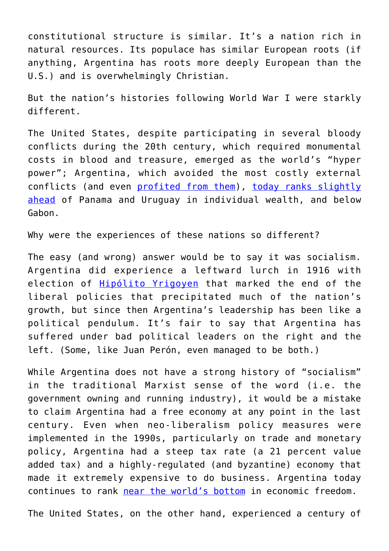constitutional structure is similar. It's a nation rich in natural resources. Its populace has similar European roots (if anything, Argentina has roots more deeply European than the U.S.) and is overwhelmingly Christian.

But the nation's histories following World War I were starkly different.

The United States, despite participating in several bloody conflicts during the 20th century, which required monumental costs in blood and treasure, emerged as the world's "hyper power"; Argentina, which avoided the most costly external conflicts (and even [profited from them](https://ideas.repec.org/p/eve/wpaper/09-13.html)), [today ranks slightly](https://www.gfmag.com/global-data/economic-data/richest-countries-in-the-world?page=12) [ahead](https://www.gfmag.com/global-data/economic-data/richest-countries-in-the-world?page=12) of Panama and Uruguay in individual wealth, and below Gabon.

Why were the experiences of these nations so different?

The easy (and wrong) answer would be to say it was socialism. Argentina did experience a leftward lurch in 1916 with election of [Hipólito Yrigoyen](http://www.britannica.com/biography/Hipolito-Irigoyen) that marked the end of the liberal policies that precipitated much of the nation's growth, but since then Argentina's leadership has been like a political pendulum. It's fair to say that Argentina has suffered under bad political leaders on the right and the left. (Some, like Juan Perón, even managed to be both.)

While Argentina does not have a strong history of "socialism" in the traditional Marxist sense of the word (i.e. the government owning and running industry), it would be a mistake to claim Argentina had a free economy at any point in the last century. Even when neo-liberalism policy measures were implemented in the 1990s, particularly on trade and monetary policy, Argentina had a steep tax rate (a 21 percent value added tax) and a highly-regulated (and byzantine) economy that made it extremely expensive to do business. Argentina today continues to rank [near the world's bottom](http://www.heritage.org/index/ranking) in economic freedom.

The United States, on the other hand, experienced a century of